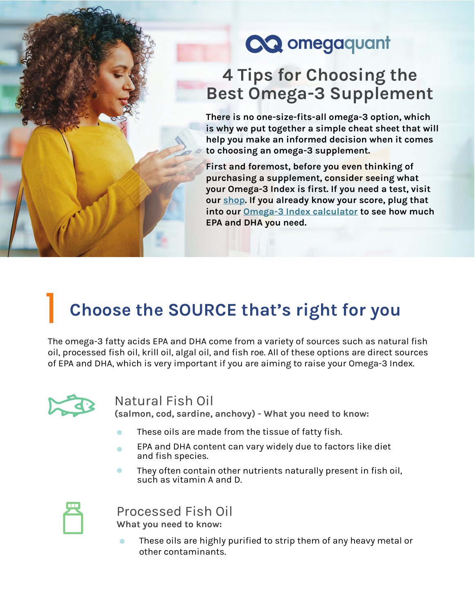# CQ omegaquant

## **4 Tips for Choosing the Best Omega-3 Supplement**

**There is no one-size-fits-all omega-3 option, which is why we put together a simple cheat sheet that will help you make an informed decision when it comes to choosing an omega-3 supplement.** 

**First and foremost, before you even thinking of purchasing a supplement, consider seeing what your Omega-3 Index is first. If you need a test, visit our [shop.](https://omegaquant.com/shop/) If you already know your score, plug that into our [Omega-3 Index calculator](https://omegaquant.com/omega-3-index-calculator/) to see how much EPA and DHA you need.** 

# **Choose the SOURCE that's right for you** 1

The omega-3 fatty acids EPA and DHA come from a variety of sources such as natural fish oil, processed fish oil, krill oil, algal oil, and fish roe. All of these options are direct sources of EPA and DHA, which is very important if you are aiming to raise your Omega-3 Index.



#### Natural Fish Oil

**(salmon, cod, sardine, anchovy) - What you need to know:**

- These oils are made from the tissue of fatty fish.
- EPA and DHA content can vary widely due to factors like diet and fish species.
- They often contain other nutrients naturally present in fish oil, such as vitamin A and D.



Processed Fish Oil **What you need to know:**

These oils are highly purified to strip them of any heavy metal or other contaminants.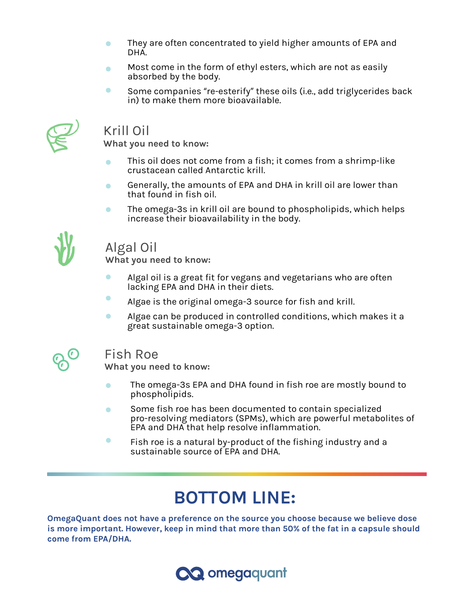- They are often concentrated to yield higher amounts of EPA and  $\bullet$ DHA.
- Most come in the form of ethyl esters, which are not as easily O absorbed by the body.
- $\bullet$ Some companies "re-esterify" these oils (i.e., add triglycerides back in) to make them more bioavailable.



### Krill Oil

**What you need to know:**

- This oil does not come from a fish; it comes from a shrimp-like crustacean called Antarctic krill.
- Generally, the amounts of EPA and DHA in krill oil are lower than  $\bullet$ that found in fish oil.
- The omega-3s in krill oil are bound to phospholipids, which helps  $\bullet$ increase their bioavailability in the body.



#### Algal Oil

**What you need to know:**

- $\bullet$ Algal oil is a great fit for vegans and vegetarians who are often lacking EPA and DHA in their diets.
- Algae is the original omega-3 source for fish and krill.
- Algae can be produced in controlled conditions, which makes it a  $\bullet$ great sustainable omega-3 option.



#### Fish Roe

**What you need to know:**

- The omega-3s EPA and DHA found in fish roe are mostly bound to  $\bullet$ phospholipids.
- Some fish roe has been documented to contain specialized  $\bullet$ pro-resolving mediators (SPMs), which are powerful metabolites of EPA and DHA that help resolve inflammation.
- $\bullet$ Fish roe is a natural by-product of the fishing industry and a sustainable source of EPA and DHA.

## **BOTTOM LINE:**

**OmegaQuant does not have a preference on the source you choose because we believe dose is more important. However, keep in mind that more than 50% of the fat in a capsule should come from EPA/DHA.** 

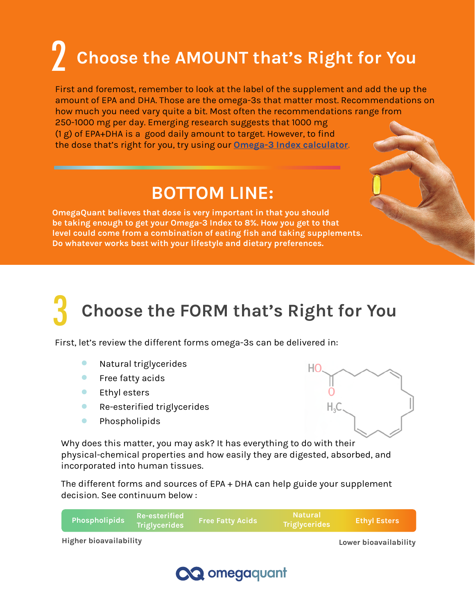# 2 **Choose the AMOUNT that's Right for You**

First and foremost, remember to look at the label of the supplement and add the up the amount of EPA and DHA. Those are the omega-3s that matter most. Recommendations on how much you need vary quite a bit. Most often the recommendations range from 250-1000 mg per day. Emerging research suggests that 1000 mg (1 g) of EPA+DHA is a good daily amount to target. However, to find the dose that's right for you, try using our **[Omega-3 Index calculator](https://omegaquant.com/omega-3-index-calculator/)**.

## **BOTTOM LINE:**

**OmegaQuant believes that dose is very important in that you should be taking enough to get your Omega-3 Index to 8%. How you get to that level could come from a combination of eating fish and taking supplements. Do whatever works best with your lifestyle and dietary preferences.**

# **Choose the FORM that's Right for You** 3

First, let's review the different forms omega-3s can be delivered in:

- $\bullet$ Natural triglycerides
- $\bullet$ Free fatty acids
- $\bullet$ Ethyl esters
- $\bullet$ Re-esterified triglycerides
- $\bullet$ Phospholipids



Why does this matter, you may ask? It has everything to do with their physical-chemical properties and how easily they are digested, absorbed, and incorporated into human tissues.

The different forms and sources of EPA + DHA can help guide your supplement decision. See continuum below :

| Phospholipids          | Re-esterified<br><b>Triglycerides</b> | <b>Free Fatty Acids</b> | Natural<br>Triglycerides | <b>Ethyl Esters</b>   |
|------------------------|---------------------------------------|-------------------------|--------------------------|-----------------------|
| Higher bioavailability |                                       |                         |                          | Lower bioavailability |